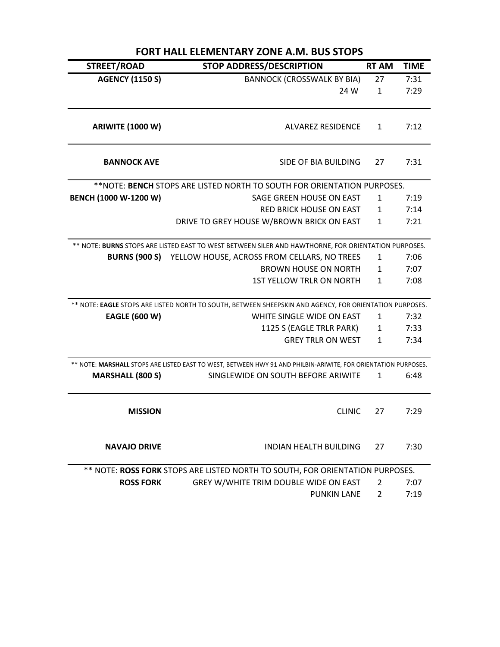| <b>FORT HALL ELEMENTARY ZONE A.M. BUS STOPS</b> |                                                                                                                |                |             |  |
|-------------------------------------------------|----------------------------------------------------------------------------------------------------------------|----------------|-------------|--|
| STREET/ROAD                                     | <b>STOP ADDRESS/DESCRIPTION</b>                                                                                | <b>RT AM</b>   | <b>TIME</b> |  |
| <b>AGENCY (1150 S)</b>                          | <b>BANNOCK (CROSSWALK BY BIA)</b>                                                                              | 27             | 7:31        |  |
|                                                 | 24 W                                                                                                           | $\mathbf{1}$   | 7:29        |  |
| <b>ARIWITE (1000 W)</b>                         | <b>ALVAREZ RESIDENCE</b>                                                                                       | 1              | 7:12        |  |
| <b>BANNOCK AVE</b>                              | SIDE OF BIA BUILDING                                                                                           | 27             | 7:31        |  |
|                                                 | ** NOTE: BENCH STOPS ARE LISTED NORTH TO SOUTH FOR ORIENTATION PURPOSES.                                       |                |             |  |
| BENCH (1000 W-1200 W)                           | SAGE GREEN HOUSE ON EAST                                                                                       | 1              | 7:19        |  |
|                                                 | RED BRICK HOUSE ON EAST                                                                                        | 1              | 7:14        |  |
|                                                 | DRIVE TO GREY HOUSE W/BROWN BRICK ON EAST                                                                      | $\mathbf{1}$   | 7:21        |  |
|                                                 | ** NOTE: BURNS STOPS ARE LISTED EAST TO WEST BETWEEN SILER AND HAWTHORNE, FOR ORIENTATION PURPOSES.            |                |             |  |
|                                                 | <b>BURNS (900 S) YELLOW HOUSE, ACROSS FROM CELLARS, NO TREES</b>                                               | 1              | 7:06        |  |
|                                                 | <b>BROWN HOUSE ON NORTH</b>                                                                                    | 1              | 7:07        |  |
|                                                 | <b>1ST YELLOW TRLR ON NORTH</b>                                                                                | $\mathbf{1}$   | 7:08        |  |
|                                                 | ** NOTE: EAGLE STOPS ARE LISTED NORTH TO SOUTH, BETWEEN SHEEPSKIN AND AGENCY, FOR ORIENTATION PURPOSES.        |                |             |  |
| <b>EAGLE (600 W)</b>                            | WHITE SINGLE WIDE ON EAST                                                                                      | 1              | 7:32        |  |
|                                                 | 1125 S (EAGLE TRLR PARK)                                                                                       | $\mathbf{1}$   | 7:33        |  |
|                                                 | <b>GREY TRLR ON WEST</b>                                                                                       | 1              | 7:34        |  |
|                                                 | ** NOTE: MARSHALL STOPS ARE LISTED EAST TO WEST, BETWEEN HWY 91 AND PHILBIN-ARIWITE, FOR ORIENTATION PURPOSES. |                |             |  |
| <b>MARSHALL (800 S)</b>                         | SINGLEWIDE ON SOUTH BEFORE ARIWITE                                                                             | 1              | 6:48        |  |
| <b>MISSION</b>                                  | <b>CLINIC</b>                                                                                                  | 27             | 7:29        |  |
| <b>NAVAJO DRIVE</b>                             | <b>INDIAN HEALTH BUILDING</b>                                                                                  | 27             | 7:30        |  |
|                                                 | ** NOTE: ROSS FORK STOPS ARE LISTED NORTH TO SOUTH, FOR ORIENTATION PURPOSES.                                  |                |             |  |
| <b>ROSS FORK</b>                                | GREY W/WHITE TRIM DOUBLE WIDE ON EAST                                                                          | 2              | 7:07        |  |
|                                                 | <b>PUNKIN LANE</b>                                                                                             | $\overline{2}$ | 7:19        |  |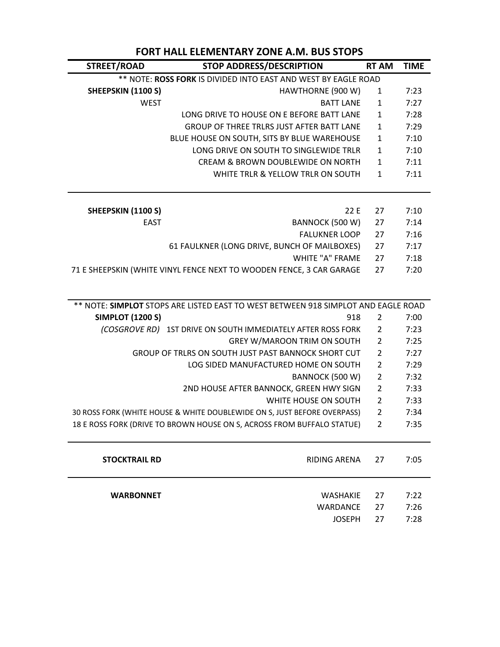| STREET/ROAD                                                                       | <b>STOP ADDRESS/DESCRIPTION</b>                                      | <b>RT AM</b>   | <b>TIME</b> |  |
|-----------------------------------------------------------------------------------|----------------------------------------------------------------------|----------------|-------------|--|
| ** NOTE: ROSS FORK IS DIVIDED INTO EAST AND WEST BY EAGLE ROAD                    |                                                                      |                |             |  |
| SHEEPSKIN (1100 S)                                                                | HAWTHORNE (900 W)                                                    | 1              | 7:23        |  |
| <b>WEST</b>                                                                       | <b>BATT LANE</b>                                                     | $\mathbf{1}$   | 7:27        |  |
|                                                                                   | LONG DRIVE TO HOUSE ON E BEFORE BATT LANE                            | $\mathbf{1}$   | 7:28        |  |
|                                                                                   | GROUP OF THREE TRLRS JUST AFTER BATT LANE                            | $\mathbf{1}$   | 7:29        |  |
|                                                                                   | BLUE HOUSE ON SOUTH, SITS BY BLUE WAREHOUSE                          | $\mathbf{1}$   | 7:10        |  |
|                                                                                   | LONG DRIVE ON SOUTH TO SINGLEWIDE TRLR                               | $\mathbf{1}$   | 7:10        |  |
|                                                                                   | CREAM & BROWN DOUBLEWIDE ON NORTH                                    | $\mathbf{1}$   | 7:11        |  |
|                                                                                   | WHITE TRLR & YELLOW TRLR ON SOUTH                                    | $\mathbf{1}$   | 7:11        |  |
|                                                                                   |                                                                      |                |             |  |
| SHEEPSKIN (1100 S)                                                                | 22 E                                                                 | 27             | 7:10        |  |
| <b>EAST</b>                                                                       | BANNOCK (500 W)                                                      | 27             | 7:14        |  |
|                                                                                   | <b>FALUKNER LOOP</b>                                                 | 27             | 7:16        |  |
|                                                                                   | 61 FAULKNER (LONG DRIVE, BUNCH OF MAILBOXES)                         | 27             | 7:17        |  |
|                                                                                   | <b>WHITE "A" FRAME</b>                                               | 27             | 7:18        |  |
|                                                                                   | 71 E SHEEPSKIN (WHITE VINYL FENCE NEXT TO WOODEN FENCE, 3 CAR GARAGE | 27             | 7:20        |  |
|                                                                                   |                                                                      |                |             |  |
| ** NOTE: SIMPLOT STOPS ARE LISTED EAST TO WEST BETWEEN 918 SIMPLOT AND EAGLE ROAD |                                                                      |                |             |  |
| <b>SIMPLOT (1200 S)</b>                                                           | 918                                                                  | $\overline{2}$ | 7:00        |  |
|                                                                                   | (COSGROVE RD) 1ST DRIVE ON SOUTH IMMEDIATELY AFTER ROSS FORK         | $\overline{2}$ | 7:23        |  |
|                                                                                   | <b>GREY W/MAROON TRIM ON SOUTH</b>                                   | $\overline{2}$ | 7:25        |  |
| GROUP OF TRLRS ON SOUTH JUST PAST BANNOCK SHORT CUT                               |                                                                      | $\overline{2}$ | 7:27        |  |
|                                                                                   | LOG SIDED MANUFACTURED HOME ON SOUTH                                 | $\overline{2}$ | 7:29        |  |
|                                                                                   | BANNOCK (500 W)                                                      | $\overline{2}$ | 7:32        |  |
|                                                                                   | 2ND HOUSE AFTER BANNOCK, GREEN HWY SIGN                              | $\overline{2}$ | 7:33        |  |
|                                                                                   | WHITE HOUSE ON SOUTH                                                 | $\overline{2}$ | 7:33        |  |
| 30 ROSS FORK (WHITE HOUSE & WHITE DOUBLEWIDE ON S, JUST BEFORE OVERPASS)          |                                                                      | $\overline{2}$ | 7:34        |  |
| 18 E ROSS FORK (DRIVE TO BROWN HOUSE ON S, ACROSS FROM BUFFALO STATUE)            |                                                                      | $\overline{2}$ | 7:35        |  |

## **FORT HALL ELEMENTARY ZONE A.M. BUS STOPS**

| <b>STOCKTRAIL RD</b> | RIDING ARENA 27                                    | 7:05                 |
|----------------------|----------------------------------------------------|----------------------|
| <b>WARBONNET</b>     | WASHAKIE 27<br>WARDANCE 27<br>JOSEPH <sub>27</sub> | 7:22<br>7:26<br>7:28 |